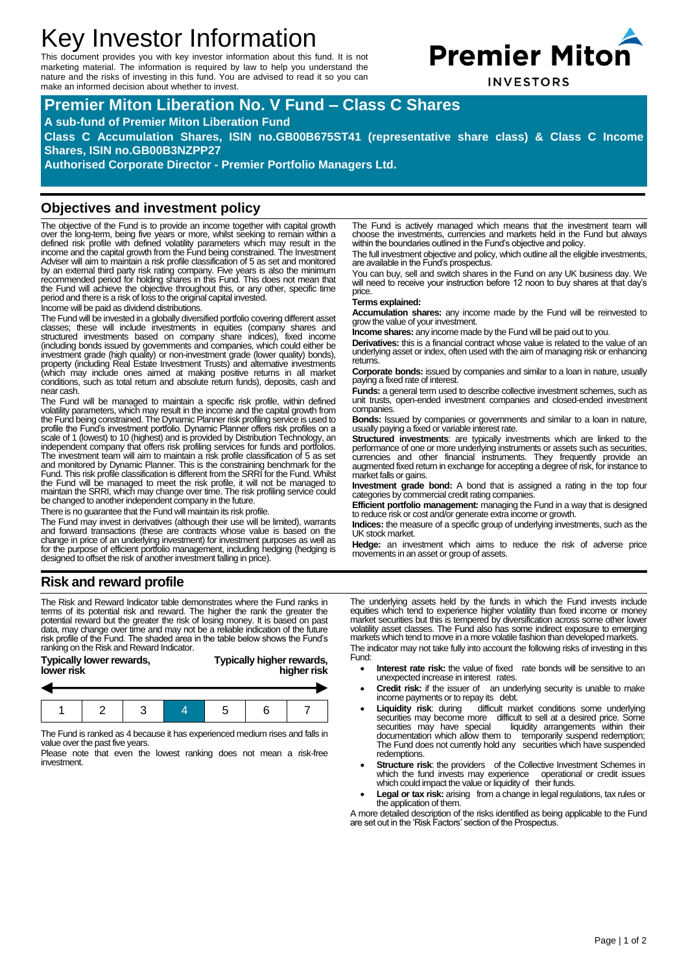# Key Investor Information

This document provides you with key investor information about this fund. It is not marketing material. The information is required by law to help you understand the nature and the risks of investing in this fund. You are advised to read it so you can make an informed decision about whether to invest.



**INVESTORS** 

## **Premier Miton Liberation No. V Fund – Class C Shares**

**A sub-fund of Premier Miton Liberation Fund**

**Class C Accumulation Shares, ISIN no.GB00B675ST41 (representative share class) & Class C Income Shares, ISIN no.GB00B3NZPP27**

**Authorised Corporate Director - Premier Portfolio Managers Ltd.**

#### **Objectives and investment policy**

The objective of the Fund is to provide an income together with capital growth over the long-term, being five years or more, whilst seeking to remain within a defined risk profile with defined volatility parameters which may result in the income and the capital growth from the Fund being constrained. The Investment Adviser will aim to maintain a risk profile classification of 5 as set and monitored by an external third party risk rating company. Five years is also the minimum recommended period for holding shares in this Fund. This does not mean that the Fund will achieve the objective throughout this, or any other, specific time period and there is a risk of loss to the original capital invested.

Income will be paid as dividend distributions.

The Fund will be invested in a globally diversified portfolio covering different asset classes; these will include investments in equities (company shares and structured investments based on company share indices), fixed income (including bonds issued by governments and companies, which could either be investment grade (high quality) or non-investment grade (lower quality) bonds), property (including Real Estate Investment Trusts) and alternative investments (which may include ones aimed at making positive returns in all market conditions, such as total return and absolute return funds), deposits, cash and near cash.

The Fund will be managed to maintain a specific risk profile, within defined volatility parameters, which may result in the income and the capital growth from the Fund being constrained. The Dynamic Planner risk profiling service is used to profile the Fund's investment portfolio. Dynamic Planner offers risk profiles on a scale of 1 (lowest) to 10 (highest) and is provided by Distribution Technology, an independent company that offers risk profiling services for funds and portfolios. The investment team will aim to maintain a risk profile classification of 5 as set and monitored by Dynamic Planner. This is the constraining benchmark for the Fund. This risk profile classification is different from the SRRI for the Fund. Whilst the Fund will be managed to meet the risk profile, it will not be managed to maintain the SRRI, which may change over time. The risk profiling service could be changed to another independent company in the future.

There is no guarantee that the Fund will maintain its risk profile.

The Fund may invest in derivatives (although their use will be limited), warrants and forward transactions (these are contracts whose value is based on the change in price of an underlying investment) for investment purposes as well as<br>for the purpose of efficient portfolio management, including hedging (hedging is<br>designed to offset the risk of another investment falling in The Fund is actively managed which means that the investment team will choose the investments, currencies and markets held in the Fund but always within the boundaries outlined in the Fund's objective and policy.

The full investment objective and policy, which outline all the eligible investments, are available in the Fund's prospectus.

You can buy, sell and switch shares in the Fund on any UK business day. We will need to receive your instruction before 12 noon to buy shares at that day's price.

#### **Terms explained:**

**Accumulation shares:** any income made by the Fund will be reinvested to grow the value of your investment.

**Income shares:** any income made by the Fund will be paid out to you.

**Derivatives:** this is a financial contract whose value is related to the value of an underlying asset or index, often used with the aim of managing risk or enhancing returns.

**Corporate bonds:** issued by companies and similar to a loan in nature, usually paying a fixed rate of interest.

**Funds:** a general term used to describe collective investment schemes, such as unit trusts, open-ended investment companies and closed-ended investment companies.

**Bonds:** Issued by companies or governments and similar to a loan in nature, usually paying a fixed or variable interest rate.

**Structured investments**: are typically investments which are linked to the performance of one or more underlying instruments or assets such as securities, currencies and other financial instruments. They frequently provide an augmented fixed return in exchange for accepting a degree of risk, for instance to market falls or gains.

**Investment grade bond:** A bond that is assigned a rating in the top four categories by commercial credit rating companies.

**Efficient portfolio management:** managing the Fund in a way that is designed to reduce risk or cost and/or generate extra income or growth.

**Indices:** the measure of a specific group of underlying investments, such as the UK stock market.

**Hedge:** an investment which aims to reduce the risk of adverse price movements in an asset or group of assets.

#### **Risk and reward profile**

The Risk and Reward Indicator table demonstrates where the Fund ranks in terms of its potential risk and reward. The higher the rank the greater the potential reward but the greater the risk of losing money. It is based on past data, may change over time and may not be a reliable indication of the future risk profile of the Fund. The shaded area in the table below shows the Fund's ranking on the Risk and Reward Indicator.

**Typically lower rewards, Typically higher rewards,**

## **lower risk higher risk**



The Fund is ranked as 4 because it has experienced medium rises and falls in value over the past five years.

Please note that even the lowest ranking does not mean a risk-free investment.

The underlying assets held by the funds in which the Fund invests include equities which tend to experience higher volatility than fixed income or money<br>market securities but this is tempered by diversification across some other lower<br>volatility asset classes. The Fund also has some indirect exp markets which tend to move in a more volatile fashion than developed markets. The indicator may not take fully into account the following risks of investing in this

Fund:

- **Interest rate risk:** the value of fixed rate bonds will be sensitive to an unexpected increase in interest rates.
- **Credit risk:** if the issuer of an underlying security is unable to make income payments or to repay its debt.
- Liquidity risk: during difficult market conditions some underlying securities may become more difficult to sell at a desired price. Some securities may have special liquidity arrangements within their documentation which allow them to temporarily suspend redemption; The Fund does not currently hold any securities which have suspended redemptions.
- **Structure risk:** the providers of the Collective Investment Schemes in which the fund invests may experience operational or credit issues<br>which could impact the value or liquidity of their funds.
- Legal or tax risk: arising from a change in legal regulations, tax rules or the application of them.

A more detailed description of the risks identified as being applicable to the Fund are set out in the 'Risk Factors' section of the Prospectus.